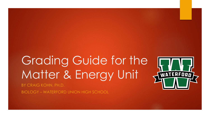# Grading Guide for the Matter & Energy Unit BY CRAIG KOHN, PH.D.



BIOLOGY – WATERFORD UNION HIGH SCHOOL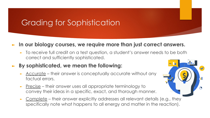# Grading for Sophistication

#### ► **In our biology courses, we require more than just correct answers.**

► To receive full credit on a test question, a student's answer needs to be both correct and sufficiently sophisticated.

### ► **By sophisticated, we mean the following:**

- Accurate their answer is conceptually accurate without any factual errors.
- Precise their answer uses all appropriate terminology to convey their ideas in a specific, exact, and thorough manner.
- Complete their answer explicitly addresses all relevant details (e.g., they specifically note what happens to all energy and matter in the reaction).

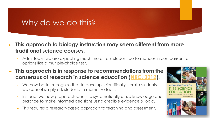## Why do we do this?

- ► **This approach to biology instruction may seem different from more traditional science courses.** 
	- Admittedly, we are expecting much more from student performances in comparison to options like a multiple-choice test.

### ► **This approach is in response to recommendations from the consensus of research in science education ([NRC, 2012\)](https://www.nap.edu/catalog/13165/a-framework-for-k-12-science-education-practices-crosscutting-concepts).**

- We now better recognize that to develop scientifically literate students, we cannot simply ask students to memorize facts.
- Instead, we now prepare students to systematically utilize knowledge and practice to make informed decisions using credible evidence & logic.
- This requires a research-based approach to teaching and assessment.

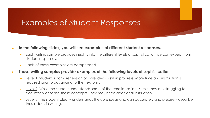### Examples of Student Responses

#### ► **In the following slides, you will see examples of different student responses.**

- ► Each writing sample provides insights into the different levels of sophistication we can expect from student responses.
- Each of these examples are paraphrased.

#### ► **These writing samples provide examples of the following levels of sophistication:**

- Level 1: Student's comprehension of core ideas is still in progress. More time and instruction is required prior to advancing to the next unit.
- ► Level 2: While the student understands some of the core ideas in this unit, they are struggling to accurately describe these concepts. They may need additional instruction.
- Level 3: The student clearly understands the core ideas and can accurately and precisely describe these ideas in writing.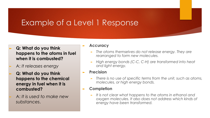### Example of a Level 1 Response

- ► **Q: What do you think happens to the atoms in fuel when it is combusted?**
- ► A: *It releases energy*
- ► **Q: What do you think happens to the chemical energy in fuel when it is combusted?**
- ► A: *It is used to make new substances*.

#### ► **Accuracy**

- ► *The atoms themselves do not release energy. They are rearranged to form new molecules.*
- ► *High energy bonds (C-C, C-H) are transformed into heat and light energy.*
- ► **Precision**
	- ► *There is no use of specific terms from the unit, such as atoms, molecules, or high energy bonds.*
- ► **Completion**
	- ► *It is not clear what happens to the atoms in ethanol and oxygen molecules. It also does not address which kinds of energy have been transformed.*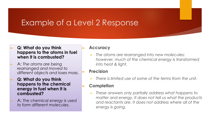### Example of a Level 2 Response

- ► **Q: What do you think happens to the atoms in fuel when it is combusted?**
- ► A: *The atoms are being rearranged and moved to different objects and loses mass*.
- ► **Q: What do you think happens to the chemical energy in fuel when it is combusted?**
- ► A: *The chemical energy is used to form different molecules*.

#### ► **Accuracy**

- ► *The atoms are rearranged into new molecules; however, much of the chemical energy is transformed into heat & light.*
- ► **Precision**
	- ►*There is limited use of some of the terms from the unit.*
- ► **Completion**
	- ► *These answers only partially address what happens to matter and energy. It does not tell us what the products and reactants are. It does not address where all of the energy is going.*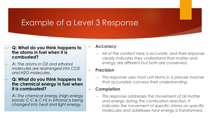### Example of a Level 3 Response

- ► **Q: What do you think happens to the atoms in fuel when it is combusted?**
- ► A: *The atoms in O2 and ethanol molecules are rearranged into CO2 and H2O molecules*.
- ► **Q: What do you think happens to the chemical energy in fuel when it is combusted?**
- ► A: *The chemical energy (high energy bonds: C-C & C-H) in ethanol is being changed into heat and light energy*.

#### ► **Accuracy**

- ► *All of the content here is accurate, and their response clearly indicates they understand that matter and energy are different but both are conserved.*
- ► **Precision**
	- ► *This response uses most unit terms in a precise manner that accurately conveys their understanding.*

#### ► **Completion**

► *This response addresses the movement of all matter and energy during the combustion reaction. It indicates the movement of specific atoms on specific molecules and addresses how energy is transformed.*